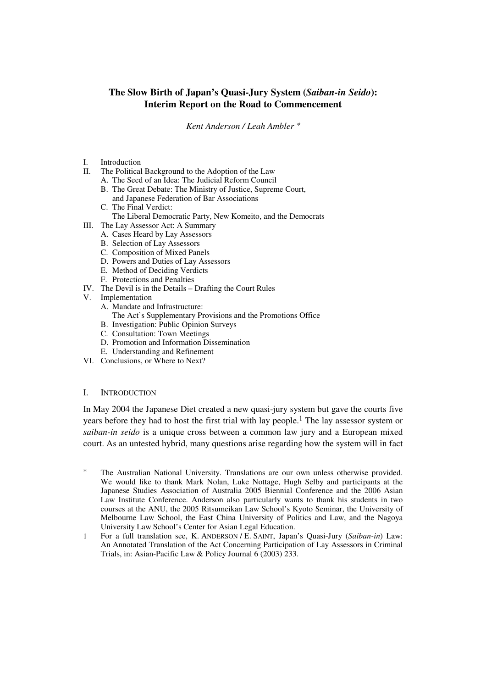# **The Slow Birth of Japan's Quasi-Jury System (***Saiban-in Seido***): Interim Report on the Road to Commencement**

*Kent Anderson / Leah Ambler* <sup>∗</sup>

#### I. Introduction

- II. The Political Background to the Adoption of the Law
	- A. The Seed of an Idea: The Judicial Reform Council
		- B. The Great Debate: The Ministry of Justice, Supreme Court, and Japanese Federation of Bar Associations
		- C. The Final Verdict:
	- The Liberal Democratic Party, New Komeito, and the Democrats
- III. The Lay Assessor Act: A Summary
	- A. Cases Heard by Lay Assessors
	- B. Selection of Lay Assessors
	- C. Composition of Mixed Panels
	- D. Powers and Duties of Lay Assessors
	- E. Method of Deciding Verdicts
	- F. Protections and Penalties
- IV. The Devil is in the Details Drafting the Court Rules
- V. Implementation
	- A. Mandate and Infrastructure:
	- The Act's Supplementary Provisions and the Promotions Office
	- B. Investigation: Public Opinion Surveys
	- C. Consultation: Town Meetings
	- D. Promotion and Information Dissemination
	- E. Understanding and Refinement
- VI. Conclusions, or Where to Next?

# I. INTRODUCTION

l

In May 2004 the Japanese Diet created a new quasi-jury system but gave the courts five years before they had to host the first trial with lay people.1 The lay assessor system or *saiban-in seido* is a unique cross between a common law jury and a European mixed court. As an untested hybrid, many questions arise regarding how the system will in fact

The Australian National University. Translations are our own unless otherwise provided. We would like to thank Mark Nolan, Luke Nottage, Hugh Selby and participants at the Japanese Studies Association of Australia 2005 Biennial Conference and the 2006 Asian Law Institute Conference. Anderson also particularly wants to thank his students in two courses at the ANU, the 2005 Ritsumeikan Law School's Kyoto Seminar, the University of Melbourne Law School, the East China University of Politics and Law, and the Nagoya University Law School's Center for Asian Legal Education.

<sup>1</sup> For a full translation see, K. ANDERSON / E. SAINT, Japan's Quasi-Jury (*Saiban-in*) Law: An Annotated Translation of the Act Concerning Participation of Lay Assessors in Criminal Trials, in: Asian-Pacific Law & Policy Journal 6 (2003) 233.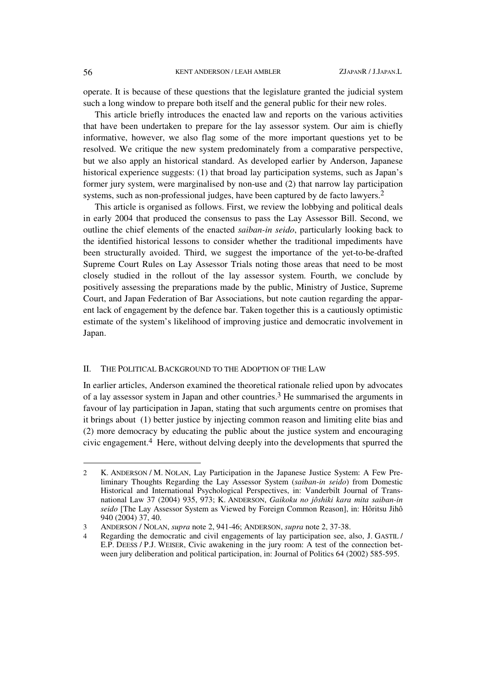operate. It is because of these questions that the legislature granted the judicial system such a long window to prepare both itself and the general public for their new roles.

This article briefly introduces the enacted law and reports on the various activities that have been undertaken to prepare for the lay assessor system. Our aim is chiefly informative, however, we also flag some of the more important questions yet to be resolved. We critique the new system predominately from a comparative perspective, but we also apply an historical standard. As developed earlier by Anderson, Japanese historical experience suggests: (1) that broad lay participation systems, such as Japan's former jury system, were marginalised by non-use and (2) that narrow lay participation systems, such as non-professional judges, have been captured by de facto lawyers.2

This article is organised as follows. First, we review the lobbying and political deals in early 2004 that produced the consensus to pass the Lay Assessor Bill. Second, we outline the chief elements of the enacted *saiban-in seido*, particularly looking back to the identified historical lessons to consider whether the traditional impediments have been structurally avoided. Third, we suggest the importance of the yet-to-be-drafted Supreme Court Rules on Lay Assessor Trials noting those areas that need to be most closely studied in the rollout of the lay assessor system. Fourth, we conclude by positively assessing the preparations made by the public, Ministry of Justice, Supreme Court, and Japan Federation of Bar Associations, but note caution regarding the apparent lack of engagement by the defence bar. Taken together this is a cautiously optimistic estimate of the system's likelihood of improving justice and democratic involvement in Japan.

#### II. THE POLITICAL BACKGROUND TO THE ADOPTION OF THE LAW

In earlier articles, Anderson examined the theoretical rationale relied upon by advocates of a lay assessor system in Japan and other countries.3 He summarised the arguments in favour of lay participation in Japan, stating that such arguments centre on promises that it brings about (1) better justice by injecting common reason and limiting elite bias and (2) more democracy by educating the public about the justice system and encouraging civic engagement.4 Here, without delving deeply into the developments that spurred the

<sup>2</sup> K. ANDERSON / M. NOLAN, Lay Participation in the Japanese Justice System: A Few Preliminary Thoughts Regarding the Lay Assessor System (*saiban*-*in seido*) from Domestic Historical and International Psychological Perspectives, in: Vanderbilt Journal of Transnational Law 37 (2004) 935, 973; K. ANDERSON, *Gaikoku no jôshiki kara mita saiban-in seido* [The Lay Assessor System as Viewed by Foreign Common Reason], in: Hôritsu Jihô 940 (2004) 37, 40.

<sup>3</sup> ANDERSON / NOLAN, *supra* note 2, 941-46; ANDERSON, *supra* note 2, 37-38.

<sup>4</sup> Regarding the democratic and civil engagements of lay participation see, also, J. GASTIL / E.P. DEESS / P.J. WEISER, Civic awakening in the jury room: A test of the connection between jury deliberation and political participation, in: Journal of Politics 64 (2002) 585-595.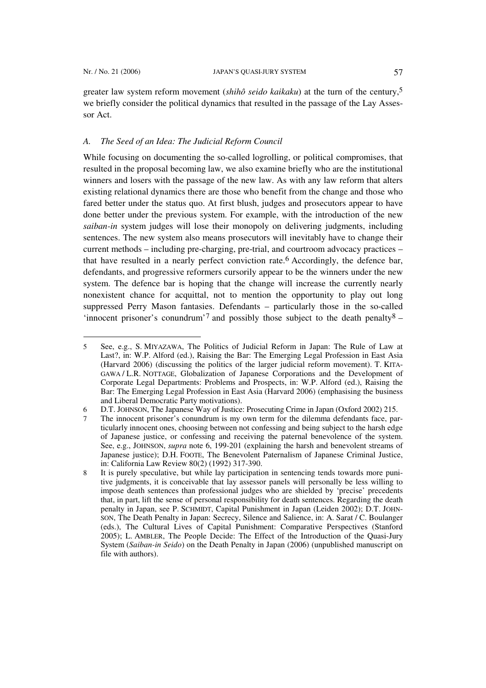$\overline{a}$ 

greater law system reform movement (*shihô seido kaikaku*) at the turn of the century,5 we briefly consider the political dynamics that resulted in the passage of the Lay Assessor Act.

# *A. The Seed of an Idea: The Judicial Reform Council*

While focusing on documenting the so-called logrolling, or political compromises, that resulted in the proposal becoming law, we also examine briefly who are the institutional winners and losers with the passage of the new law. As with any law reform that alters existing relational dynamics there are those who benefit from the change and those who fared better under the status quo. At first blush, judges and prosecutors appear to have done better under the previous system. For example, with the introduction of the new *saiban-in* system judges will lose their monopoly on delivering judgments, including sentences. The new system also means prosecutors will inevitably have to change their current methods – including pre-charging, pre-trial, and courtroom advocacy practices – that have resulted in a nearly perfect conviction rate.<sup>6</sup> Accordingly, the defence bar, defendants, and progressive reformers cursorily appear to be the winners under the new system. The defence bar is hoping that the change will increase the currently nearly nonexistent chance for acquittal, not to mention the opportunity to play out long suppressed Perry Mason fantasies. Defendants – particularly those in the so-called 'innocent prisoner's conundrum'<sup>7</sup> and possibly those subject to the death penalty<sup>8</sup> –

<sup>5</sup> See, e.g., S. MIYAZAWA, The Politics of Judicial Reform in Japan: The Rule of Law at Last?, in: W.P. Alford (ed.), Raising the Bar: The Emerging Legal Profession in East Asia (Harvard 2006) (discussing the politics of the larger judicial reform movement). T. KITA-GAWA / L.R. NOTTAGE, Globalization of Japanese Corporations and the Development of Corporate Legal Departments: Problems and Prospects, in: W.P. Alford (ed.), Raising the Bar: The Emerging Legal Profession in East Asia (Harvard 2006) (emphasising the business and Liberal Democratic Party motivations).

<sup>6</sup> D.T. JOHNSON, The Japanese Way of Justice: Prosecuting Crime in Japan (Oxford 2002) 215.

The innocent prisoner's conundrum is my own term for the dilemma defendants face, particularly innocent ones, choosing between not confessing and being subject to the harsh edge of Japanese justice, or confessing and receiving the paternal benevolence of the system. See, e.g., JOHNSON, *supra* note 6, 199-201 (explaining the harsh and benevolent streams of Japanese justice); D.H. FOOTE, The Benevolent Paternalism of Japanese Criminal Justice, in: California Law Review 80(2) (1992) 317-390.

<sup>8</sup> It is purely speculative, but while lay participation in sentencing tends towards more punitive judgments, it is conceivable that lay assessor panels will personally be less willing to impose death sentences than professional judges who are shielded by 'precise' precedents that, in part, lift the sense of personal responsibility for death sentences. Regarding the death penalty in Japan, see P. SCHMIDT, Capital Punishment in Japan (Leiden 2002); D.T. JOHN-SON, The Death Penalty in Japan: Secrecy, Silence and Salience, in: A. Sarat / C. Boulanger (eds.), The Cultural Lives of Capital Punishment: Comparative Perspectives (Stanford 2005); L. AMBLER, The People Decide: The Effect of the Introduction of the Quasi-Jury System (*Saiban-in Seido*) on the Death Penalty in Japan (2006) (unpublished manuscript on file with authors).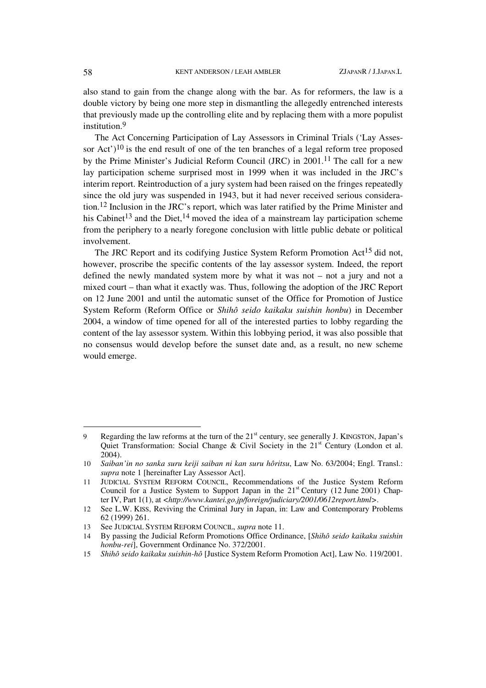also stand to gain from the change along with the bar. As for reformers, the law is a double victory by being one more step in dismantling the allegedly entrenched interests that previously made up the controlling elite and by replacing them with a more populist institution.<sup>9</sup>

The Act Concerning Participation of Lay Assessors in Criminal Trials ('Lay Assessor Act' $)^{10}$  is the end result of one of the ten branches of a legal reform tree proposed by the Prime Minister's Judicial Reform Council (JRC) in 2001.11 The call for a new lay participation scheme surprised most in 1999 when it was included in the JRC's interim report. Reintroduction of a jury system had been raised on the fringes repeatedly since the old jury was suspended in 1943, but it had never received serious consideration.12 Inclusion in the JRC's report, which was later ratified by the Prime Minister and his Cabinet<sup>13</sup> and the Diet,<sup>14</sup> moved the idea of a mainstream lay participation scheme from the periphery to a nearly foregone conclusion with little public debate or political involvement.

The JRC Report and its codifying Justice System Reform Promotion Act<sup>15</sup> did not, however, proscribe the specific contents of the lay assessor system. Indeed, the report defined the newly mandated system more by what it was not – not a jury and not a mixed court – than what it exactly was. Thus, following the adoption of the JRC Report on 12 June 2001 and until the automatic sunset of the Office for Promotion of Justice System Reform (Reform Office or *Shihô seido kaikaku suishin honbu*) in December 2004, a window of time opened for all of the interested parties to lobby regarding the content of the lay assessor system. Within this lobbying period, it was also possible that no consensus would develop before the sunset date and, as a result, no new scheme would emerge.

<sup>9</sup> Regarding the law reforms at the turn of the 21<sup>st</sup> century, see generally J. KINGSTON, Japan's Quiet Transformation: Social Change & Civil Society in the 21<sup>st</sup> Century (London et al. 2004).

<sup>10</sup> *Saiban'in no sanka suru keiji saiban ni kan suru hôritsu*, Law No. 63/2004; Engl. Transl.: *supra* note 1 [hereinafter Lay Assessor Act].

<sup>11</sup> JUDICIAL SYSTEM REFORM COUNCIL, Recommendations of the Justice System Reform Council for a Justice System to Support Japan in the  $21<sup>st</sup>$  Century (12 June 2001) Chapter IV, Part 1(1), at *<http://www.kantei.go.jp/foreign/judiciary/2001/0612report.html>*.

<sup>12</sup> See L.W. KISS, Reviving the Criminal Jury in Japan, in: Law and Contemporary Problems 62 (1999) 261.

<sup>13</sup> See JUDICIAL SYSTEM REFORM COUNCIL, *supra* note 11.

<sup>14</sup> By passing the Judicial Reform Promotions Office Ordinance, [*Shihô seido kaikaku suishin honbu-rei*], Government Ordinance No. 372/2001.

<sup>15</sup> *Shihô seido kaikaku suishin-hô* [Justice System Reform Promotion Act], Law No. 119/2001.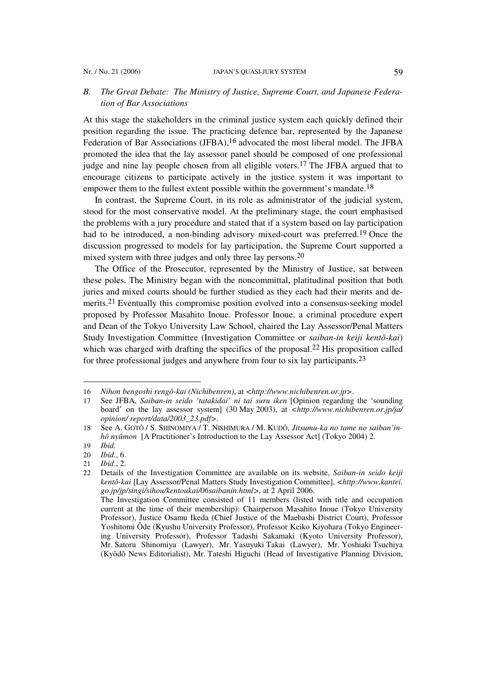#### Nr. / No. 21 (2006) **JAPAN'S QUASI-JURY SYSTEM** 59

# *B. The Great Debate: The Ministry of Justice, Supreme Court, and Japanese Federation of Bar Associations*

At this stage the stakeholders in the criminal justice system each quickly defined their position regarding the issue. The practicing defence bar, represented by the Japanese Federation of Bar Associations (JFBA),<sup>16</sup> advocated the most liberal model. The JFBA promoted the idea that the lay assessor panel should be composed of one professional judge and nine lay people chosen from all eligible voters.17 The JFBA argued that to encourage citizens to participate actively in the justice system it was important to empower them to the fullest extent possible within the government's mandate.<sup>18</sup>

In contrast, the Supreme Court, in its role as administrator of the judicial system, stood for the most conservative model. At the preliminary stage, the court emphasised the problems with a jury procedure and stated that if a system based on lay participation had to be introduced, a non-binding advisory mixed-court was preferred.19 Once the discussion progressed to models for lay participation, the Supreme Court supported a mixed system with three judges and only three lay persons.<sup>20</sup>

The Office of the Prosecutor, represented by the Ministry of Justice, sat between these poles. The Ministry began with the noncommittal, platitudinal position that both juries and mixed courts should be further studied as they each had their merits and demerits.21 Eventually this compromise position evolved into a consensus-seeking model proposed by Professor Masahito Inoue. Professor Inoue, a criminal procedure expert and Dean of the Tokyo University Law School, chaired the Lay Assessor/Penal Matters Study Investigation Committee (Investigation Committee or *saiban-in keiji kentô-kai*) which was charged with drafting the specifics of the proposal.<sup>22</sup> His proposition called for three professional judges and anywhere from four to six lay participants.23

<sup>16</sup> *Nihon bengoshi rengô-kai (Nichibenren)*, at *<http://www.nichibenren.or.jp>*.

<sup>17</sup> See JFBA, *Saiban-in seido 'tatakidai' ni tai suru iken* [Opinion regarding the 'sounding board' on the lay assessor system] (30 May 2003), at *<http://www.nichibenren.or.jp/ja/ opinion/ report/data/2003\_23.pdf>*.

<sup>18</sup> See A. GOTÔ / S. SHINOMIYA / T. NISHIMURA / M. KUDÔ, *Jitsumu-ka no tame no saiban'inhô nyûmon* [A Practitioner's Introduction to the Lay Assessor Act] (Tokyo 2004) 2.

<sup>19</sup> *Ibid.*

<sup>20</sup> *Ibid.*, 6.

<sup>21</sup> *Ibid*., 2.

<sup>22</sup> Details of the Investigation Committee are available on its website, *Saiban-in seido keiji kentô-kai* [Lay Assessor/Penal Matters Study Investigation Committee], *<http://www.kantei. go.jp/jp/singi/sihou/kentoukai/06saibanin.html>*, at 2 April 2006. The Investigation Committee consisted of 11 members (listed with title and occupation

current at the time of their membership): Chairperson Masahito Inoue (Tokyo University Professor), Justice Osamu Ikeda (Chief Justice of the Maebashi District Court), Professor Yoshitomi Ôde (Kyushu University Professor), Professor Keiko Kiyohara (Tokyo Engineering University Professor), Professor Tadashi Sakamaki (Kyoto University Professor), Mr. Satoru Shinomiya (Lawyer), Mr. Yasuyuki Takai (Lawyer), Mr. Yoshiaki Tsuchiya (Kyôdô News Editorialist), Mr. Tateshi Higuchi (Head of Investigative Planning Division,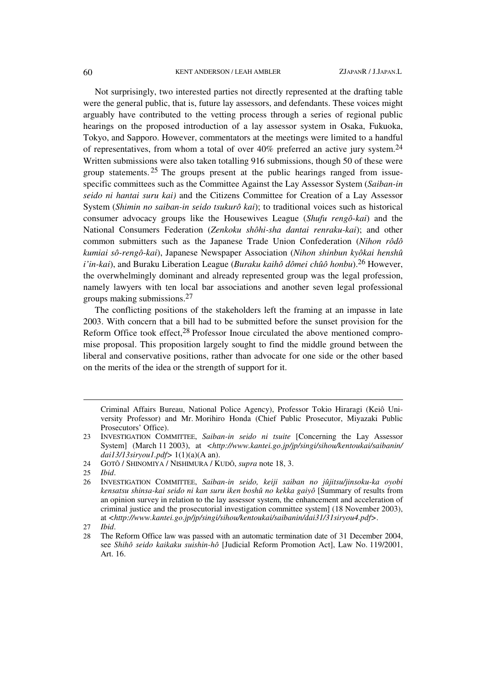#### 60 KENT ANDERSON / LEAH AMBLER ZJAPANR / J.JAPAN.L

Not surprisingly, two interested parties not directly represented at the drafting table were the general public, that is, future lay assessors, and defendants. These voices might arguably have contributed to the vetting process through a series of regional public hearings on the proposed introduction of a lay assessor system in Osaka, Fukuoka, Tokyo, and Sapporo. However, commentators at the meetings were limited to a handful of representatives, from whom a total of over  $40\%$  preferred an active jury system.<sup>24</sup> Written submissions were also taken totalling 916 submissions, though 50 of these were group statements. 25 The groups present at the public hearings ranged from issuespecific committees such as the Committee Against the Lay Assessor System (*Saiban-in seido ni hantai suru kai)* and the Citizens Committee for Creation of a Lay Assessor System (*Shimin no saiban-in seido tsukurô kai*); to traditional voices such as historical consumer advocacy groups like the Housewives League (*Shufu rengô-kai*) and the National Consumers Federation (*Zenkoku shôhi-sha dantai renraku-kai*); and other common submitters such as the Japanese Trade Union Confederation (*Nihon rôdô kumiai sô-rengô-kai*), Japanese Newspaper Association (*Nihon shinbun kyôkai henshû i'in-kai*), and Buraku Liberation League (*Buraku kaihô dômei chûô honbu*).26 However, the overwhelmingly dominant and already represented group was the legal profession, namely lawyers with ten local bar associations and another seven legal professional groups making submissions.27

The conflicting positions of the stakeholders left the framing at an impasse in late 2003. With concern that a bill had to be submitted before the sunset provision for the Reform Office took effect,28 Professor Inoue circulated the above mentioned compromise proposal. This proposition largely sought to find the middle ground between the liberal and conservative positions, rather than advocate for one side or the other based on the merits of the idea or the strength of support for it.

Criminal Affairs Bureau, National Police Agency), Professor Tokio Hiraragi (Keiô University Professor) and Mr. Morihiro Honda (Chief Public Prosecutor, Miyazaki Public Prosecutors' Office).

<sup>23</sup> INVESTIGATION COMMITTEE, *Saiban-in seido ni tsuite* [Concerning the Lay Assessor System] (March 11 2003), at *<http://www.kantei.go.jp/jp/singi/sihou/kentoukai/saibanin/ dai13/13siryou1.pdf>* 1(1)(a)(A an).

<sup>24</sup> GOTÔ / SHINOMIYA / NISHIMURA / KUDÔ, *supra* note 18, 3.

<sup>25</sup> *Ibid*.

<sup>26</sup> INVESTIGATION COMMITTEE, *Saiban-in seido, keiji saiban no jûjitsu/jinsoku-ka oyobi kensatsu shinsa-kai seido ni kan suru iken boshû no kekka gaiyô* [Summary of results from an opinion survey in relation to the lay assessor system, the enhancement and acceleration of criminal justice and the prosecutorial investigation committee system] (18 November 2003), at *<http://www.kantei.go.jp/jp/singi/sihou/kentoukai/saibanin/dai31/31siryou4.pdf>*.

<sup>27</sup> *Ibid*.

<sup>28</sup> The Reform Office law was passed with an automatic termination date of 31 December 2004, see *Shihô seido kaikaku suishin-hô* [Judicial Reform Promotion Act], Law No. 119/2001, Art. 16.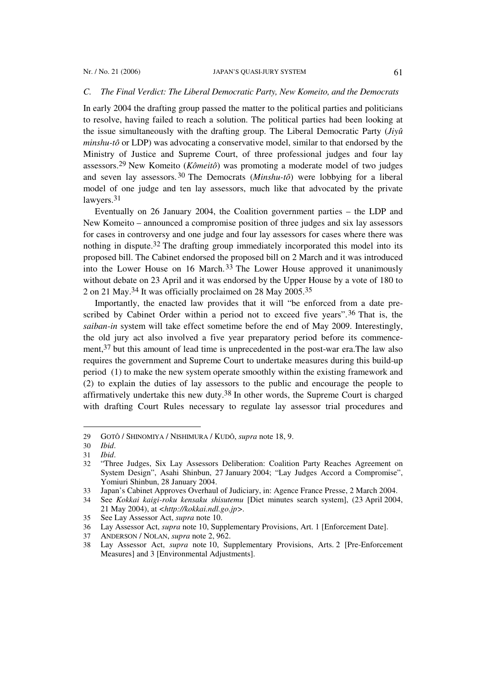#### *C. The Final Verdict: The Liberal Democratic Party, New Komeito, and the Democrats*

In early 2004 the drafting group passed the matter to the political parties and politicians to resolve, having failed to reach a solution. The political parties had been looking at the issue simultaneously with the drafting group. The Liberal Democratic Party (*Jiyû minshu-tô* or LDP) was advocating a conservative model, similar to that endorsed by the Ministry of Justice and Supreme Court, of three professional judges and four lay assessors.29 New Komeito (*Kômeitô*) was promoting a moderate model of two judges and seven lay assessors.30 The Democrats (*Minshu-tô*) were lobbying for a liberal model of one judge and ten lay assessors, much like that advocated by the private lawyers.<sup>31</sup>

Eventually on 26 January 2004, the Coalition government parties – the LDP and New Komeito – announced a compromise position of three judges and six lay assessors for cases in controversy and one judge and four lay assessors for cases where there was nothing in dispute.<sup>32</sup> The drafting group immediately incorporated this model into its proposed bill. The Cabinet endorsed the proposed bill on 2 March and it was introduced into the Lower House on 16 March.<sup>33</sup> The Lower House approved it unanimously without debate on 23 April and it was endorsed by the Upper House by a vote of 180 to 2 on 21 May.34 It was officially proclaimed on 28 May 2005.35

Importantly, the enacted law provides that it will "be enforced from a date prescribed by Cabinet Order within a period not to exceed five years".<sup>36</sup> That is, the *saiban-in* system will take effect sometime before the end of May 2009. Interestingly, the old jury act also involved a five year preparatory period before its commencement,37 but this amount of lead time is unprecedented in the post-war era.The law also requires the government and Supreme Court to undertake measures during this build-up period (1) to make the new system operate smoothly within the existing framework and (2) to explain the duties of lay assessors to the public and encourage the people to affirmatively undertake this new duty.38 In other words, the Supreme Court is charged with drafting Court Rules necessary to regulate lay assessor trial procedures and

<sup>29</sup> GOTÔ / SHINOMIYA / NISHIMURA / KUDÔ, *supra* note 18, 9.

<sup>30</sup> *Ibid*.

<sup>31</sup> *Ibid*.

<sup>32</sup> "Three Judges, Six Lay Assessors Deliberation: Coalition Party Reaches Agreement on System Design", Asahi Shinbun, 27 January 2004; "Lay Judges Accord a Compromise", Yomiuri Shinbun, 28 January 2004.

<sup>33</sup> Japan's Cabinet Approves Overhaul of Judiciary, in: Agence France Presse, 2 March 2004.

<sup>34</sup> See *Kokkai kaigi-roku kensaku shisutemu* [Diet minutes search system], (23 April 2004, 21 May 2004), at *<http://kokkai.ndl.go.jp>.*

<sup>35</sup> See Lay Assessor Act, *supra* note 10.

<sup>36</sup> Lay Assessor Act, *supra* note 10, Supplementary Provisions, Art. 1 [Enforcement Date].

<sup>37</sup> ANDERSON / NOLAN, *supra* note 2, 962.

<sup>38</sup> Lay Assessor Act, *supra* note 10, Supplementary Provisions, Arts. 2 [Pre-Enforcement Measures] and 3 [Environmental Adjustments].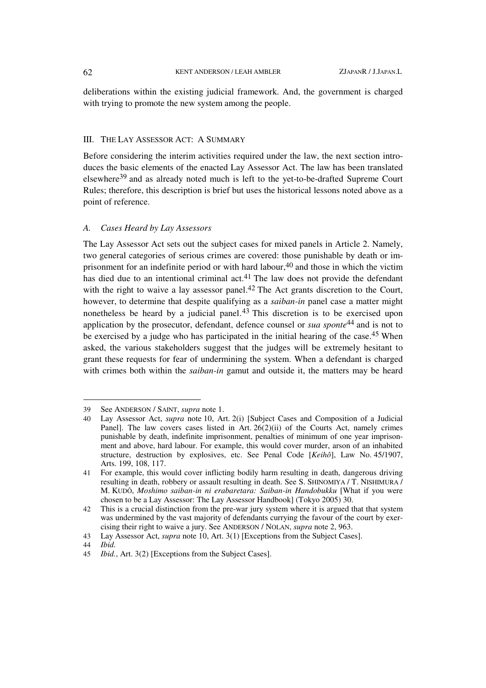deliberations within the existing judicial framework. And, the government is charged with trying to promote the new system among the people.

## III. THE LAY ASSESSOR ACT: A SUMMARY

Before considering the interim activities required under the law, the next section introduces the basic elements of the enacted Lay Assessor Act. The law has been translated elsewhere39 and as already noted much is left to the yet-to-be-drafted Supreme Court Rules; therefore, this description is brief but uses the historical lessons noted above as a point of reference.

## *A. Cases Heard by Lay Assessors*

The Lay Assessor Act sets out the subject cases for mixed panels in Article 2. Namely, two general categories of serious crimes are covered: those punishable by death or imprisonment for an indefinite period or with hard labour,  $40$  and those in which the victim has died due to an intentional criminal act.<sup>41</sup> The law does not provide the defendant with the right to waive a lay assessor panel.<sup>42</sup> The Act grants discretion to the Court, however, to determine that despite qualifying as a *saiban-in* panel case a matter might nonetheless be heard by a judicial panel.43 This discretion is to be exercised upon application by the prosecutor, defendant, defence counsel or *sua sponte*44 and is not to be exercised by a judge who has participated in the initial hearing of the case.<sup>45</sup> When asked, the various stakeholders suggest that the judges will be extremely hesitant to grant these requests for fear of undermining the system. When a defendant is charged with crimes both within the *saiban-in* gamut and outside it, the matters may be heard

<sup>39</sup> See ANDERSON / SAINT, *supra* note 1.

<sup>40</sup> Lay Assessor Act, *supra* note 10, Art. 2(i) [Subject Cases and Composition of a Judicial Panel]. The law covers cases listed in Art.  $26(2)(ii)$  of the Courts Act, namely crimes punishable by death, indefinite imprisonment, penalties of minimum of one year imprisonment and above, hard labour. For example, this would cover murder, arson of an inhabited structure, destruction by explosives, etc. See Penal Code [*Keihô*], Law No. 45/1907, Arts. 199, 108, 117.

<sup>41</sup> For example, this would cover inflicting bodily harm resulting in death, dangerous driving resulting in death, robbery or assault resulting in death. See S. SHINOMIYA / T. NISHIMURA / M. KUDÔ, *Moshimo saiban-in ni erabaretara: Saiban-in Handobukku* [What if you were chosen to be a Lay Assessor: The Lay Assessor Handbook] (Tokyo 2005) 30.

<sup>42</sup> This is a crucial distinction from the pre-war jury system where it is argued that that system was undermined by the vast majority of defendants currying the favour of the court by exercising their right to waive a jury. See ANDERSON / NOLAN, *supra* note 2, 963.

<sup>43</sup> Lay Assessor Act, *supra* note 10, Art. 3(1) [Exceptions from the Subject Cases].

<sup>44</sup> *Ibid.*

<sup>45</sup> *Ibid.*, Art. 3(2) [Exceptions from the Subject Cases].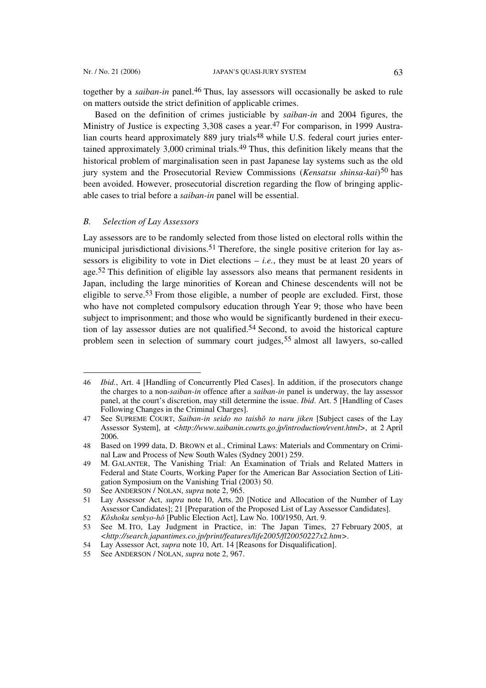l

together by a *saiban-in* panel.46 Thus, lay assessors will occasionally be asked to rule on matters outside the strict definition of applicable crimes.

Based on the definition of crimes justiciable by *saiban-in* and 2004 figures, the Ministry of Justice is expecting 3,308 cases a year.<sup>47</sup> For comparison, in 1999 Australian courts heard approximately 889 jury trials<sup>48</sup> while U.S. federal court juries entertained approximately 3,000 criminal trials.49 Thus, this definition likely means that the historical problem of marginalisation seen in past Japanese lay systems such as the old jury system and the Prosecutorial Review Commissions (*Kensatsu shinsa-kai*) 50 has been avoided. However, prosecutorial discretion regarding the flow of bringing applicable cases to trial before a *saiban-in* panel will be essential.

#### *B. Selection of Lay Assessors*

Lay assessors are to be randomly selected from those listed on electoral rolls within the municipal jurisdictional divisions.<sup>51</sup> Therefore, the single positive criterion for lay assessors is eligibility to vote in Diet elections  $-$  *i.e.*, they must be at least 20 years of age.52 This definition of eligible lay assessors also means that permanent residents in Japan, including the large minorities of Korean and Chinese descendents will not be eligible to serve.53 From those eligible, a number of people are excluded. First, those who have not completed compulsory education through Year 9; those who have been subject to imprisonment; and those who would be significantly burdened in their execution of lay assessor duties are not qualified.54 Second, to avoid the historical capture problem seen in selection of summary court judges,55 almost all lawyers, so-called

<sup>46</sup> *Ibid.*, Art. 4 [Handling of Concurrently Pled Cases]. In addition, if the prosecutors change the charges to a non-*saiban-in* offence after a *saiban-in* panel is underway, the lay assessor panel, at the court's discretion, may still determine the issue. *Ibid*. Art. 5 [Handling of Cases Following Changes in the Criminal Charges].

<sup>47</sup> See SUPREME COURT, *Saiban-in seido no taishô to naru jiken* [Subject cases of the Lay Assessor System], at *<http://www.saibanin.courts.go.jp/introduction/event.html>*, at 2 April 2006.

<sup>48</sup> Based on 1999 data, D. BROWN et al., Criminal Laws: Materials and Commentary on Criminal Law and Process of New South Wales (Sydney 2001) 259.

<sup>49</sup> M. GALANTER, The Vanishing Trial: An Examination of Trials and Related Matters in Federal and State Courts, Working Paper for the American Bar Association Section of Litigation Symposium on the Vanishing Trial (2003) 50.

<sup>50</sup> See ANDERSON / NOLAN, *supra* note 2, 965.

<sup>51</sup> Lay Assessor Act, *supra* note 10, Arts. 20 [Notice and Allocation of the Number of Lay Assessor Candidates]; 21 [Preparation of the Proposed List of Lay Assessor Candidates].

<sup>52</sup> *Kôshoku senkyo-hô* [Public Election Act], Law No. 100/1950, Art. 9.

<sup>53</sup> See M. ITO, Lay Judgment in Practice, in: The Japan Times, 27 February 2005, at *<http://search.japantimes.co.jp/print/features/life2005/fl20050227x2.htm>*.

<sup>54</sup> Lay Assessor Act, *supra* note 10, Art. 14 [Reasons for Disqualification].

<sup>55</sup> See ANDERSON / NOLAN, *supra* note 2, 967.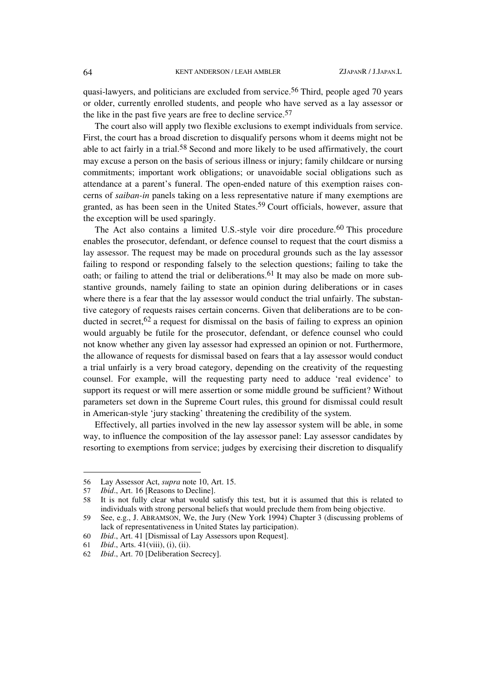quasi-lawyers, and politicians are excluded from service.<sup>56</sup> Third, people aged 70 years or older, currently enrolled students, and people who have served as a lay assessor or the like in the past five years are free to decline service.57

The court also will apply two flexible exclusions to exempt individuals from service. First, the court has a broad discretion to disqualify persons whom it deems might not be able to act fairly in a trial.58 Second and more likely to be used affirmatively, the court may excuse a person on the basis of serious illness or injury; family childcare or nursing commitments; important work obligations; or unavoidable social obligations such as attendance at a parent's funeral. The open-ended nature of this exemption raises concerns of *saiban-in* panels taking on a less representative nature if many exemptions are granted, as has been seen in the United States.59 Court officials, however, assure that the exception will be used sparingly.

The Act also contains a limited U.S.-style voir dire procedure.<sup>60</sup> This procedure enables the prosecutor, defendant, or defence counsel to request that the court dismiss a lay assessor. The request may be made on procedural grounds such as the lay assessor failing to respond or responding falsely to the selection questions; failing to take the oath; or failing to attend the trial or deliberations.<sup>61</sup> It may also be made on more substantive grounds, namely failing to state an opinion during deliberations or in cases where there is a fear that the lay assessor would conduct the trial unfairly. The substantive category of requests raises certain concerns. Given that deliberations are to be conducted in secret,<sup>62</sup> a request for dismissal on the basis of failing to express an opinion would arguably be futile for the prosecutor, defendant, or defence counsel who could not know whether any given lay assessor had expressed an opinion or not. Furthermore, the allowance of requests for dismissal based on fears that a lay assessor would conduct a trial unfairly is a very broad category, depending on the creativity of the requesting counsel. For example, will the requesting party need to adduce 'real evidence' to support its request or will mere assertion or some middle ground be sufficient? Without parameters set down in the Supreme Court rules, this ground for dismissal could result in American-style 'jury stacking' threatening the credibility of the system.

Effectively, all parties involved in the new lay assessor system will be able, in some way, to influence the composition of the lay assessor panel: Lay assessor candidates by resorting to exemptions from service; judges by exercising their discretion to disqualify

<sup>56</sup> Lay Assessor Act, *supra* note 10, Art. 15.

<sup>57</sup> *Ibid*., Art. 16 [Reasons to Decline].

<sup>58</sup> It is not fully clear what would satisfy this test, but it is assumed that this is related to individuals with strong personal beliefs that would preclude them from being objective.

<sup>59</sup> See, e.g., J. ABRAMSON, We, the Jury (New York 1994) Chapter 3 (discussing problems of lack of representativeness in United States lay participation).

<sup>60</sup> *Ibid*., Art. 41 [Dismissal of Lay Assessors upon Request].

<sup>61</sup> *Ibid*., Arts. 41(viii), (i), (ii).

<sup>62</sup> *Ibid*., Art. 70 [Deliberation Secrecy].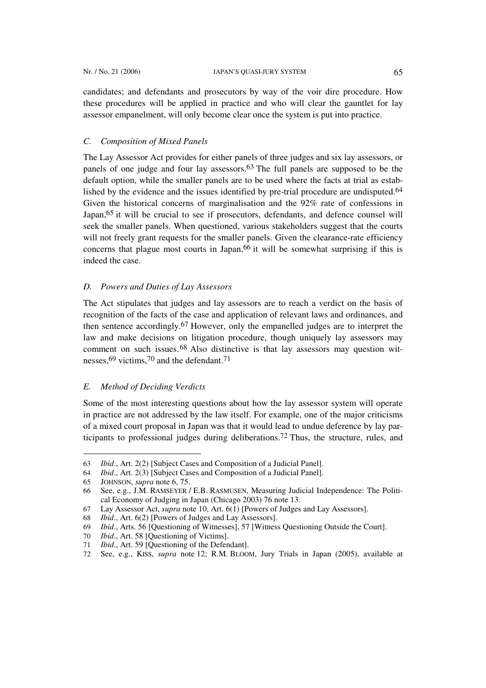candidates; and defendants and prosecutors by way of the voir dire procedure. How these procedures will be applied in practice and who will clear the gauntlet for lay assessor empanelment, will only become clear once the system is put into practice.

# *C. Composition of Mixed Panels*

The Lay Assessor Act provides for either panels of three judges and six lay assessors, or panels of one judge and four lay assessors.63 The full panels are supposed to be the default option, while the smaller panels are to be used where the facts at trial as established by the evidence and the issues identified by pre-trial procedure are undisputed.<sup>64</sup> Given the historical concerns of marginalisation and the 92% rate of confessions in Japan,<sup>65</sup> it will be crucial to see if prosecutors, defendants, and defence counsel will seek the smaller panels. When questioned, various stakeholders suggest that the courts will not freely grant requests for the smaller panels. Given the clearance-rate efficiency concerns that plague most courts in Japan,<sup>66</sup> it will be somewhat surprising if this is indeed the case.

## *D. Powers and Duties of Lay Assessors*

The Act stipulates that judges and lay assessors are to reach a verdict on the basis of recognition of the facts of the case and application of relevant laws and ordinances, and then sentence accordingly.67 However, only the empanelled judges are to interpret the law and make decisions on litigation procedure, though uniquely lay assessors may comment on such issues.68 Also distinctive is that lay assessors may question witnesses,69 victims,70 and the defendant.71

## *E. Method of Deciding Verdicts*

Some of the most interesting questions about how the lay assessor system will operate in practice are not addressed by the law itself. For example, one of the major criticisms of a mixed court proposal in Japan was that it would lead to undue deference by lay participants to professional judges during deliberations.72 Thus, the structure, rules, and

<sup>63</sup> *Ibid*., Art. 2(2) [Subject Cases and Composition of a Judicial Panel].

<sup>64</sup> *Ibid*., Art. 2(3) [Subject Cases and Composition of a Judicial Panel].

<sup>65</sup> JOHNSON, *supra* note 6, 75.

<sup>66</sup> See, e.g., J.M. RAMSEYER / E.B. RASMUSEN, Measuring Judicial Independence: The Political Economy of Judging in Japan (Chicago 2003) 76 note 13.

<sup>67</sup> Lay Assessor Act, *supra* note 10, Art. 6(1) [Powers of Judges and Lay Assessors].

<sup>68</sup> *Ibid*., Art. 6(2) [Powers of Judges and Lay Assessors].

<sup>69</sup> *Ibid*., Arts. 56 [Questioning of Witnesses], 57 [Witness Questioning Outside the Court].

<sup>70</sup> *Ibid*., Art. 58 [Questioning of Victims].

<sup>71</sup> *Ibid*., Art. 59 [Questioning of the Defendant].

<sup>72</sup> See, e.g., KISS, *supra* note 12; R.M. BLOOM, Jury Trials in Japan (2005), available at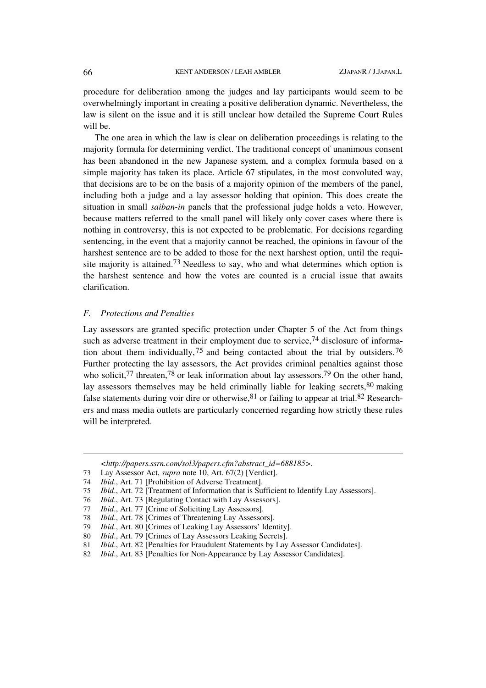procedure for deliberation among the judges and lay participants would seem to be overwhelmingly important in creating a positive deliberation dynamic. Nevertheless, the law is silent on the issue and it is still unclear how detailed the Supreme Court Rules will be.

The one area in which the law is clear on deliberation proceedings is relating to the majority formula for determining verdict. The traditional concept of unanimous consent has been abandoned in the new Japanese system, and a complex formula based on a simple majority has taken its place. Article 67 stipulates, in the most convoluted way, that decisions are to be on the basis of a majority opinion of the members of the panel, including both a judge and a lay assessor holding that opinion. This does create the situation in small *saiban-in* panels that the professional judge holds a veto. However, because matters referred to the small panel will likely only cover cases where there is nothing in controversy, this is not expected to be problematic. For decisions regarding sentencing, in the event that a majority cannot be reached, the opinions in favour of the harshest sentence are to be added to those for the next harshest option, until the requisite majority is attained.<sup>73</sup> Needless to say, who and what determines which option is the harshest sentence and how the votes are counted is a crucial issue that awaits clarification.

#### *F. Protections and Penalties*

Lay assessors are granted specific protection under Chapter 5 of the Act from things such as adverse treatment in their employment due to service,<sup>74</sup> disclosure of information about them individually,  $75$  and being contacted about the trial by outsiders.  $76$ Further protecting the lay assessors, the Act provides criminal penalties against those who solicit,<sup>77</sup> threaten,<sup>78</sup> or leak information about lay assessors.<sup>79</sup> On the other hand, lay assessors themselves may be held criminally liable for leaking secrets,  $80$  making false statements during voir dire or otherwise,  $81$  or failing to appear at trial.  $82$  Researchers and mass media outlets are particularly concerned regarding how strictly these rules will be interpreted.

*<http://papers.ssrn.com/sol3/papers.cfm?abstract\_id=688185>.*

- 73 Lay Assessor Act, *supra* note 10, Art. 67(2) [Verdict].
- 74 *Ibid*., Art. 71 [Prohibition of Adverse Treatment].
- 75 *Ibid*., Art. 72 [Treatment of Information that is Sufficient to Identify Lay Assessors].
- 76 *Ibid*., Art. 73 [Regulating Contact with Lay Assessors].
- 77 *Ibid*., Art. 77 [Crime of Soliciting Lay Assessors].
- 78 *Ibid*., Art. 78 [Crimes of Threatening Lay Assessors].
- 79 *Ibid*., Art. 80 [Crimes of Leaking Lay Assessors' Identity].
- 80 *Ibid*., Art. 79 [Crimes of Lay Assessors Leaking Secrets].
- 81 *Ibid*., Art. 82 [Penalties for Fraudulent Statements by Lay Assessor Candidates].
- 82 *Ibid*., Art. 83 [Penalties for Non-Appearance by Lay Assessor Candidates].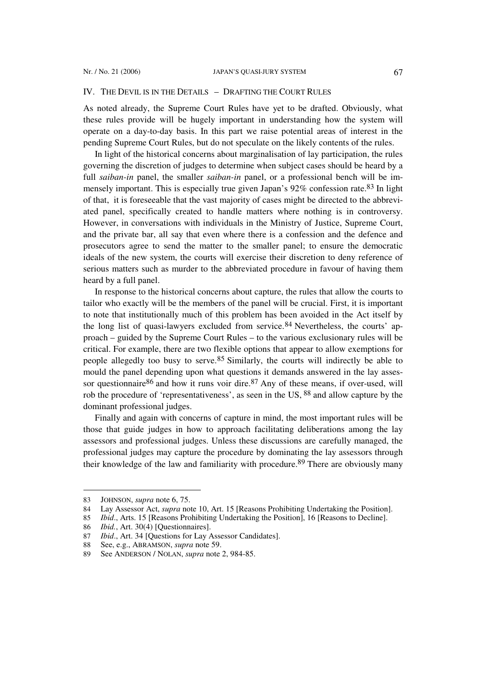#### IV. THE DEVIL IS IN THE DETAILS – DRAFTING THE COURT RULES

As noted already, the Supreme Court Rules have yet to be drafted. Obviously, what these rules provide will be hugely important in understanding how the system will operate on a day-to-day basis. In this part we raise potential areas of interest in the pending Supreme Court Rules, but do not speculate on the likely contents of the rules.

In light of the historical concerns about marginalisation of lay participation, the rules governing the discretion of judges to determine when subject cases should be heard by a full *saiban-in* panel, the smaller *saiban-in* panel, or a professional bench will be immensely important. This is especially true given Japan's 92% confession rate.83 In light of that, it is foreseeable that the vast majority of cases might be directed to the abbreviated panel, specifically created to handle matters where nothing is in controversy. However, in conversations with individuals in the Ministry of Justice, Supreme Court, and the private bar, all say that even where there is a confession and the defence and prosecutors agree to send the matter to the smaller panel; to ensure the democratic ideals of the new system, the courts will exercise their discretion to deny reference of serious matters such as murder to the abbreviated procedure in favour of having them heard by a full panel.

In response to the historical concerns about capture, the rules that allow the courts to tailor who exactly will be the members of the panel will be crucial. First, it is important to note that institutionally much of this problem has been avoided in the Act itself by the long list of quasi-lawyers excluded from service.  $84$  Nevertheless, the courts' approach – guided by the Supreme Court Rules – to the various exclusionary rules will be critical. For example, there are two flexible options that appear to allow exemptions for people allegedly too busy to serve.85 Similarly, the courts will indirectly be able to mould the panel depending upon what questions it demands answered in the lay assessor questionnaire  $86$  and how it runs voir dire.  $87$  Any of these means, if over-used, will rob the procedure of 'representativeness', as seen in the US, 88 and allow capture by the dominant professional judges.

Finally and again with concerns of capture in mind, the most important rules will be those that guide judges in how to approach facilitating deliberations among the lay assessors and professional judges. Unless these discussions are carefully managed, the professional judges may capture the procedure by dominating the lay assessors through their knowledge of the law and familiarity with procedure.89 There are obviously many

<sup>83</sup> JOHNSON, *supra* note 6, 75.

<sup>84</sup> Lay Assessor Act, *supra* note 10, Art. 15 [Reasons Prohibiting Undertaking the Position].

<sup>85</sup> *Ibid*., Arts. 15 [Reasons Prohibiting Undertaking the Position], 16 [Reasons to Decline].

<sup>86</sup> *Ibid.*, Art. 30(4) [Questionnaires].

<sup>87</sup> *Ibid*., Art. 34 [Questions for Lay Assessor Candidates].

<sup>88</sup> See, e.g., ABRAMSON, *supra* note 59.

<sup>89</sup> See ANDERSON / NOLAN, *supra* note 2, 984-85.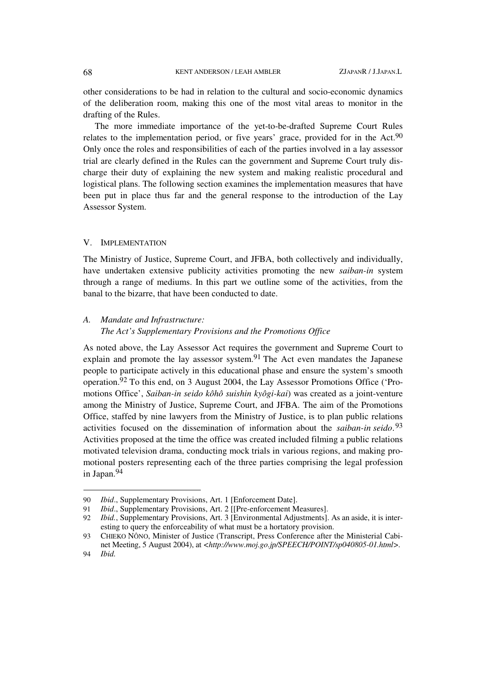other considerations to be had in relation to the cultural and socio-economic dynamics of the deliberation room, making this one of the most vital areas to monitor in the drafting of the Rules.

The more immediate importance of the yet-to-be-drafted Supreme Court Rules relates to the implementation period, or five years' grace, provided for in the Act.90 Only once the roles and responsibilities of each of the parties involved in a lay assessor trial are clearly defined in the Rules can the government and Supreme Court truly discharge their duty of explaining the new system and making realistic procedural and logistical plans. The following section examines the implementation measures that have been put in place thus far and the general response to the introduction of the Lay Assessor System.

#### V. IMPLEMENTATION

The Ministry of Justice, Supreme Court, and JFBA, both collectively and individually, have undertaken extensive publicity activities promoting the new *saiban-in* system through a range of mediums. In this part we outline some of the activities, from the banal to the bizarre, that have been conducted to date.

# *A. Mandate and Infrastructure: The Act's Supplementary Provisions and the Promotions Office*

As noted above, the Lay Assessor Act requires the government and Supreme Court to explain and promote the lay assessor system.91 The Act even mandates the Japanese people to participate actively in this educational phase and ensure the system's smooth operation.92 To this end, on 3 August 2004, the Lay Assessor Promotions Office ('Promotions Office', *Saiban-in seido kôhô suishin kyôgi-kai*) was created as a joint-venture among the Ministry of Justice, Supreme Court, and JFBA. The aim of the Promotions Office, staffed by nine lawyers from the Ministry of Justice, is to plan public relations activities focused on the dissemination of information about the *saiban-in seido*. 93 Activities proposed at the time the office was created included filming a public relations motivated television drama, conducting mock trials in various regions, and making promotional posters representing each of the three parties comprising the legal profession in Japan.94

<sup>90</sup> *Ibid*., Supplementary Provisions, Art. 1 [Enforcement Date].

<sup>91</sup> *Ibid*., Supplementary Provisions, Art. 2 [[Pre-enforcement Measures].

<sup>92</sup> *Ibid.*, Supplementary Provisions, Art. 3 [Environmental Adjustments]. As an aside, it is interesting to query the enforceability of what must be a hortatory provision.

<sup>93</sup> CHIEKO NÔNO, Minister of Justice (Transcript, Press Conference after the Ministerial Cabinet Meeting, 5 August 2004), at *<http://www.moj.go.jp/SPEECH/POINT/sp040805-01.html>.*

<sup>94</sup> *Ibid.*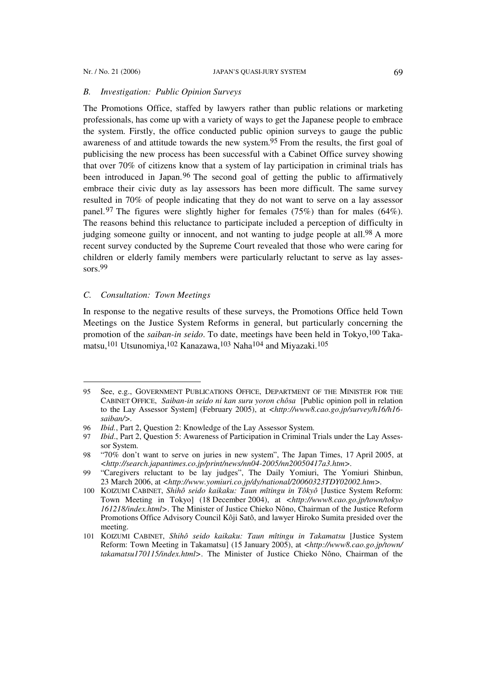### *B. Investigation: Public Opinion Surveys*

The Promotions Office, staffed by lawyers rather than public relations or marketing professionals, has come up with a variety of ways to get the Japanese people to embrace the system. Firstly, the office conducted public opinion surveys to gauge the public awareness of and attitude towards the new system.95 From the results, the first goal of publicising the new process has been successful with a Cabinet Office survey showing that over 70% of citizens know that a system of lay participation in criminal trials has been introduced in Japan.<sup>96</sup> The second goal of getting the public to affirmatively embrace their civic duty as lay assessors has been more difficult. The same survey resulted in 70% of people indicating that they do not want to serve on a lay assessor panel.97 The figures were slightly higher for females (75%) than for males (64%). The reasons behind this reluctance to participate included a perception of difficulty in judging someone guilty or innocent, and not wanting to judge people at all.98 A more recent survey conducted by the Supreme Court revealed that those who were caring for children or elderly family members were particularly reluctant to serve as lay assessors.<sup>99</sup>

### *C. Consultation: Town Meetings*

l

In response to the negative results of these surveys, the Promotions Office held Town Meetings on the Justice System Reforms in general, but particularly concerning the promotion of the *saiban-in seido*. To date, meetings have been held in Tokyo,<sup>100</sup> Takamatsu,101 Utsunomiya,102 Kanazawa,103 Naha104 and Miyazaki.105

<sup>95</sup> See, e.g., GOVERNMENT PUBLICATIONS OFFICE, DEPARTMENT OF THE MINISTER FOR THE CABINET OFFICE, *Saiban-in seido ni kan suru yoron chôsa* [Public opinion poll in relation to the Lay Assessor System] (February 2005), at *<http://www8.cao.go.jp/survey/h16/h16 saiban/>.*

<sup>96</sup> *Ibid.*, Part 2, Question 2: Knowledge of the Lay Assessor System.

<sup>97</sup> *Ibid*., Part 2, Question 5: Awareness of Participation in Criminal Trials under the Lay Assessor System.

<sup>98</sup> "70% don't want to serve on juries in new system", The Japan Times, 17 April 2005, at *<http://search.japantimes.co.jp/print/news/nn04-2005/nn20050417a3.htm>.*

<sup>99</sup> "Caregivers reluctant to be lay judges", The Daily Yomiuri, The Yomiuri Shinbun, 23 March 2006, at *<http://www.yomiuri.co.jp/dy/national/20060323TDY02002.htm>.*

<sup>100</sup> KOIZUMI CABINET, *Shihô seido kaikaku: Taun mîtingu in Tôkyô* [Justice System Reform: Town Meeting in Tokyo] (18 December 2004), at *<http://www8.cao.go.jp/town/tokyo 161218/index.html>*. The Minister of Justice Chieko Nôno, Chairman of the Justice Reform Promotions Office Advisory Council Kôji Satô, and lawyer Hiroko Sumita presided over the meeting.

<sup>101</sup> KOIZUMI CABINET, *Shihô seido kaikaku: Taun mîtingu in Takamatsu* [Justice System Reform: Town Meeting in Takamatsu] (15 January 2005), at *<http://www8.cao.go.jp/town/ takamatsu170115/index.html>*. The Minister of Justice Chieko Nôno, Chairman of the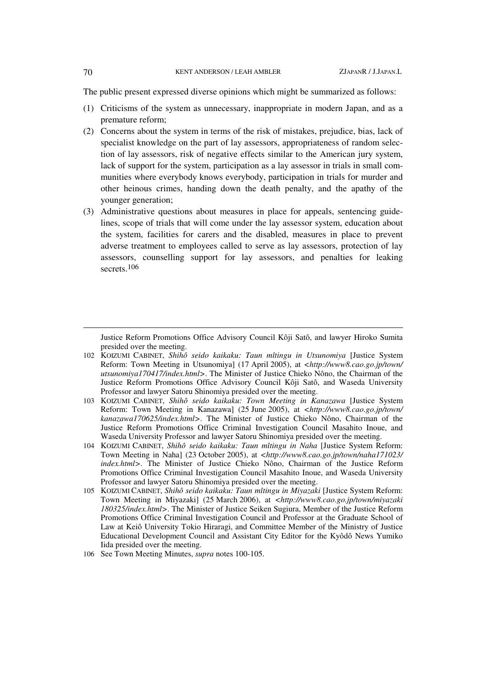The public present expressed diverse opinions which might be summarized as follows:

- (1) Criticisms of the system as unnecessary, inappropriate in modern Japan, and as a premature reform;
- (2) Concerns about the system in terms of the risk of mistakes, prejudice, bias, lack of specialist knowledge on the part of lay assessors, appropriateness of random selection of lay assessors, risk of negative effects similar to the American jury system, lack of support for the system, participation as a lay assessor in trials in small communities where everybody knows everybody, participation in trials for murder and other heinous crimes, handing down the death penalty, and the apathy of the younger generation;
- (3) Administrative questions about measures in place for appeals, sentencing guidelines, scope of trials that will come under the lay assessor system, education about the system, facilities for carers and the disabled, measures in place to prevent adverse treatment to employees called to serve as lay assessors, protection of lay assessors, counselling support for lay assessors, and penalties for leaking secrets.<sup>106</sup>

Justice Reform Promotions Office Advisory Council Kôji Satô, and lawyer Hiroko Sumita presided over the meeting.

- 102 KOIZUMI CABINET, *Shihô seido kaikaku: Taun mîtingu in Utsunomiya* [Justice System Reform: Town Meeting in Utsunomiya] (17 April 2005), at *<http://www8.cao.go.jp/town/ utsunomiya170417/index.html>*. The Minister of Justice Chieko Nôno, the Chairman of the Justice Reform Promotions Office Advisory Council Kôji Satô, and Waseda University Professor and lawyer Satoru Shinomiya presided over the meeting.
- 103 KOIZUMI CABINET, *Shihô seido kaikaku: Town Meeting in Kanazawa* [Justice System Reform: Town Meeting in Kanazawa] (25 June 2005), at *<http://www8.cao.go.jp/town/ kanazawa170625/index.html>*. The Minister of Justice Chieko Nôno, Chairman of the Justice Reform Promotions Office Criminal Investigation Council Masahito Inoue, and Waseda University Professor and lawyer Satoru Shinomiya presided over the meeting.
- 104 KOIZUMI CABINET, *Shihô seido kaikaku: Taun mîtingu in Naha* [Justice System Reform: Town Meeting in Naha] (23 October 2005), at *<http://www8.cao.go.jp/town/naha171023/ index.html>*. The Minister of Justice Chieko Nôno, Chairman of the Justice Reform Promotions Office Criminal Investigation Council Masahito Inoue, and Waseda University Professor and lawyer Satoru Shinomiya presided over the meeting.
- 105 KOIZUMI CABINET, *Shihô seido kaikaku: Taun mîtingu in Miyazaki* [Justice System Reform: Town Meeting in Miyazaki] (25 March 2006), at *<http://www8.cao.go.jp/town/miyazaki 180325/index.html>*. The Minister of Justice Seiken Sugiura, Member of the Justice Reform Promotions Office Criminal Investigation Council and Professor at the Graduate School of Law at Keiô University Tokio Hiraragi, and Committee Member of the Ministry of Justice Educational Development Council and Assistant City Editor for the Kyôdô News Yumiko Iida presided over the meeting.
- 106 See Town Meeting Minutes, *supra* notes 100-105.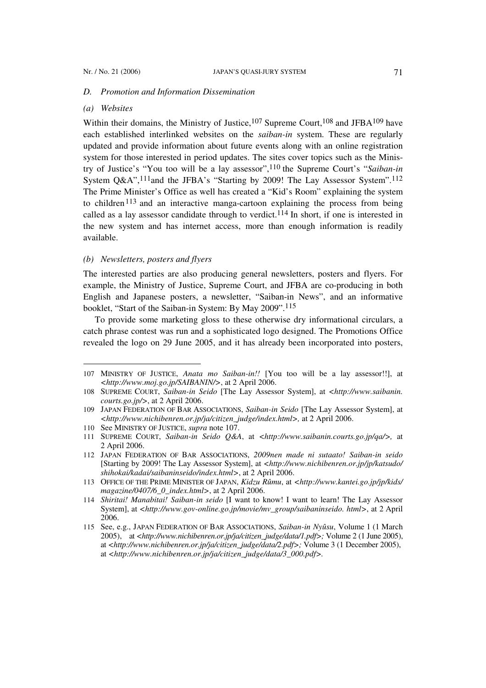#### *D. Promotion and Information Dissemination*

#### *(a) Websites*

 $\overline{a}$ 

Within their domains, the Ministry of Justice,<sup>107</sup> Supreme Court,<sup>108</sup> and JFBA<sup>109</sup> have each established interlinked websites on the *saiban-in* system. These are regularly updated and provide information about future events along with an online registration system for those interested in period updates. The sites cover topics such as the Ministry of Justice's "You too will be a lay assessor",110 the Supreme Court's "*Saiban-in*  System Q&A",<sup>111</sup>and the JFBA's "Starting by 2009! The Lay Assessor System".<sup>112</sup> The Prime Minister's Office as well has created a "Kid's Room" explaining the system to children<sup>113</sup> and an interactive manga-cartoon explaining the process from being called as a lay assessor candidate through to verdict.<sup>114</sup> In short, if one is interested in the new system and has internet access, more than enough information is readily available.

## *(b) Newsletters, posters and flyers*

The interested parties are also producing general newsletters, posters and flyers. For example, the Ministry of Justice, Supreme Court, and JFBA are co-producing in both English and Japanese posters, a newsletter, "Saiban-in News", and an informative booklet, "Start of the Saiban-in System: By May 2009".115

To provide some marketing gloss to these otherwise dry informational circulars, a catch phrase contest was run and a sophisticated logo designed. The Promotions Office revealed the logo on 29 June 2005, and it has already been incorporated into posters,

<sup>107</sup> MINISTRY OF JUSTICE, *Anata mo Saiban-in!!* [You too will be a lay assessor!!], at *<http://www.moj.go.jp/SAIBANIN/>*, at 2 April 2006.

<sup>108</sup> SUPREME COURT, *Saiban-in Seido* [The Lay Assessor System], at *<http://www.saibanin. courts.go.jp/>*, at 2 April 2006.

<sup>109</sup> JAPAN FEDERATION OF BAR ASSOCIATIONS, *Saiban-in Seido* [The Lay Assessor System], at *<http://www.nichibenren.or.jp/ja/citizen\_judge/index.html>,* at 2 April 2006.

<sup>110</sup> See MINISTRY OF JUSTICE, *supra* note 107.

<sup>111</sup> SUPREME COURT, *Saiban-in Seido Q&A*, at *<http://www.saibanin.courts.go.jp/qa/>,* at 2 April 2006.

<sup>112</sup> JAPAN FEDERATION OF BAR ASSOCIATIONS, *2009nen made ni sutaato! Saiban-in seido* [Starting by 2009! The Lay Assessor System], at *<http://www.nichibenren.or.jp/jp/katsudo/ shihokai/kadai/saibaninseido/index.html>*, at 2 April 2006.

<sup>113</sup> OFFICE OF THE PRIME MINISTER OF JAPAN, *Kidzu Rûmu*, at *<http://www.kantei.go.jp/jp/kids/ magazine/0407/6\_0\_index.html>*, at 2 April 2006.

<sup>114</sup> *Shiritai! Manabitai! Saiban-in seido* [I want to know! I want to learn! The Lay Assessor System], at *<http://www.gov-online.go.jp/movie/mv\_group/saibaninseido. html>*, at 2 April 2006.

<sup>115</sup> See, e.g., JAPAN FEDERATION OF BAR ASSOCIATIONS, *Saiban-in Nyûsu*, Volume 1 (1 March 2005), at *<http://www.nichibenren.or.jp/ja/citizen\_judge/data/1.pdf>;* Volume 2 (1 June 2005), at *<http://www.nichibenren.or.jp/ja/citizen\_judge/data/2.pdf>;* Volume 3 (1 December 2005), at *<http://www.nichibenren.or.jp/ja/citizen\_judge/data/3\_000.pdf>.*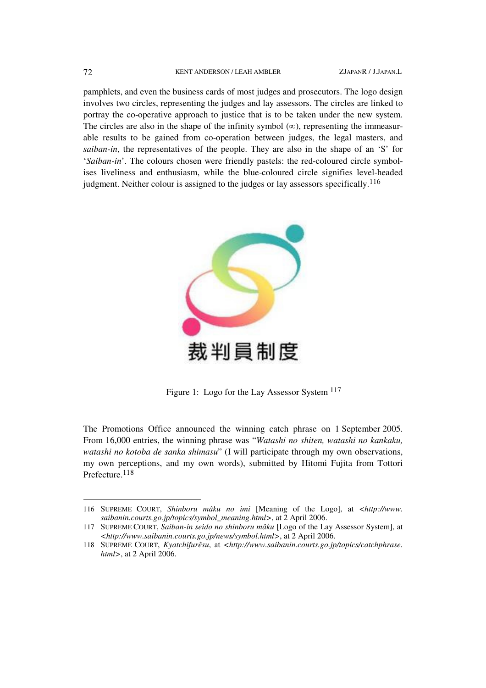#### 72 KENT ANDERSON / LEAH AMBLER ZJAPANR / J.JAPAN.L

pamphlets, and even the business cards of most judges and prosecutors. The logo design involves two circles, representing the judges and lay assessors. The circles are linked to portray the co-operative approach to justice that is to be taken under the new system. The circles are also in the shape of the infinity symbol  $(\infty)$ , representing the immeasurable results to be gained from co-operation between judges, the legal masters, and *saiban-in*, the representatives of the people. They are also in the shape of an 'S' for '*Saiban-in*'. The colours chosen were friendly pastels: the red-coloured circle symbolises liveliness and enthusiasm, while the blue-coloured circle signifies level-headed judgment. Neither colour is assigned to the judges or lay assessors specifically.<sup>116</sup>



Figure 1: Logo for the Lay Assessor System 117

The Promotions Office announced the winning catch phrase on 1 September 2005. From 16,000 entries, the winning phrase was "*Watashi no shiten, watashi no kankaku, watashi no kotoba de sanka shimasu*" (I will participate through my own observations, my own perceptions, and my own words), submitted by Hitomi Fujita from Tottori Prefecture.118

 $\overline{a}$ 

<sup>116</sup> SUPREME COURT, *Shinboru mâku no imi* [Meaning of the Logo], at *<http://www. saibanin.courts.go.jp/topics/symbol\_meaning.html>*, at 2 April 2006.

<sup>117</sup> SUPREME COURT, *Saiban-in seido no shinboru mâku* [Logo of the Lay Assessor System], at *<http://www.saibanin.courts.go.jp/news/symbol.html>*, at 2 April 2006.

<sup>118</sup> SUPREME COURT, *Kyatchifurêsu*, at *<http://www.saibanin.courts.go.jp/topics/catchphrase. html>*, at 2 April 2006.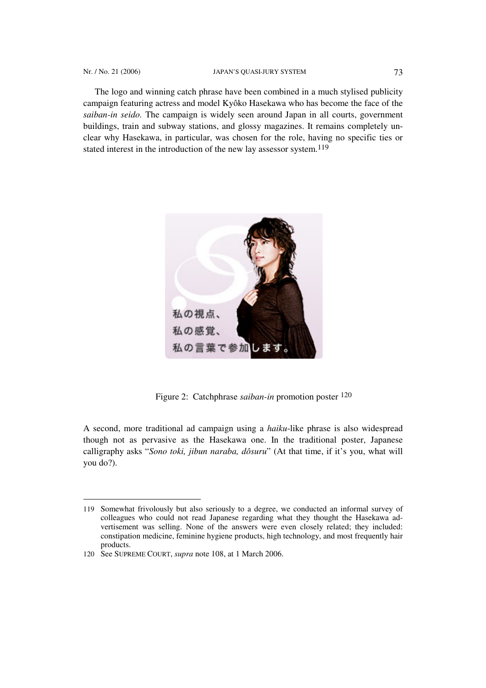The logo and winning catch phrase have been combined in a much stylised publicity campaign featuring actress and model Kyôko Hasekawa who has become the face of the *saiban-in seido.* The campaign is widely seen around Japan in all courts, government buildings, train and subway stations, and glossy magazines. It remains completely unclear why Hasekawa, in particular, was chosen for the role, having no specific ties or stated interest in the introduction of the new lay assessor system.119



Figure 2: Catchphrase *saiban-in* promotion poster 120

A second, more traditional ad campaign using a *haiku*-like phrase is also widespread though not as pervasive as the Hasekawa one. In the traditional poster, Japanese calligraphy asks "*Sono toki, jibun naraba, dôsuru*" (At that time, if it's you, what will you do?).

 $\overline{a}$ 

<sup>119</sup> Somewhat frivolously but also seriously to a degree, we conducted an informal survey of colleagues who could not read Japanese regarding what they thought the Hasekawa advertisement was selling. None of the answers were even closely related; they included: constipation medicine, feminine hygiene products, high technology, and most frequently hair products.

<sup>120</sup> See SUPREME COURT, *supra* note 108, at 1 March 2006.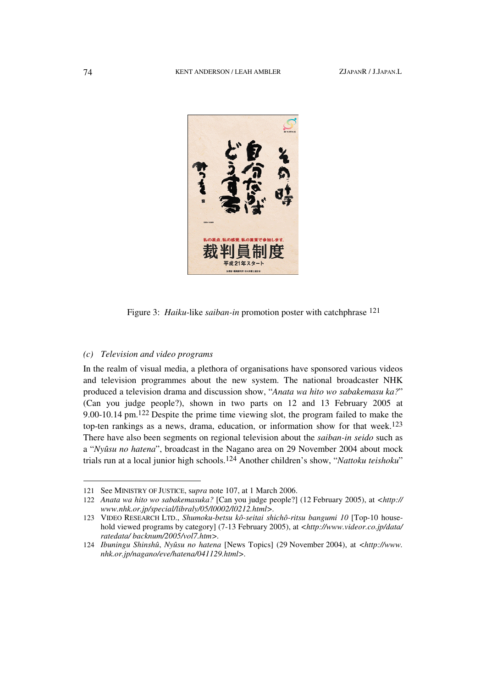

Figure 3: *Haiku*-like *saiban-in* promotion poster with catchphrase 121

# *(c) Television and video programs*

In the realm of visual media, a plethora of organisations have sponsored various videos and television programmes about the new system. The national broadcaster NHK produced a television drama and discussion show, "*Anata wa hito wo sabakemasu ka?*" (Can you judge people?), shown in two parts on 12 and 13 February 2005 at 9.00-10.14 pm.122 Despite the prime time viewing slot, the program failed to make the top-ten rankings as a news, drama, education, or information show for that week.123 There have also been segments on regional television about the *saiban-in seido* such as a "*Nyûsu no hatena*", broadcast in the Nagano area on 29 November 2004 about mock trials run at a local junior high schools.124 Another children's show, "*Nattoku teishoku*"

 $\overline{a}$ 

<sup>121</sup> See MINISTRY OF JUSTICE, s*upra* note 107, at 1 March 2006.

<sup>122</sup> *Anata wa hito wo sabakemasuka?* [Can you judge people?] (12 February 2005), at *<http:// www.nhk.or.jp/special/libraly/05/l0002/l0212.html>.*

<sup>123</sup> VIDEO RESEARCH LTD., *Shumoku-betsu kô-seitai shichô-ritsu bangumi 10* [Top-10 household viewed programs by category] (7-13 February 2005), at *<http://www.videor.co.jp/data/ ratedata/ backnum/2005/vol7.htm>.*

<sup>124</sup> *Ibuningu Shinshû*, *Nyûsu no hatena* [News Topics] (29 November 2004), at *<http://www. nhk.or.jp/nagano/eve/hatena/041129.html>.*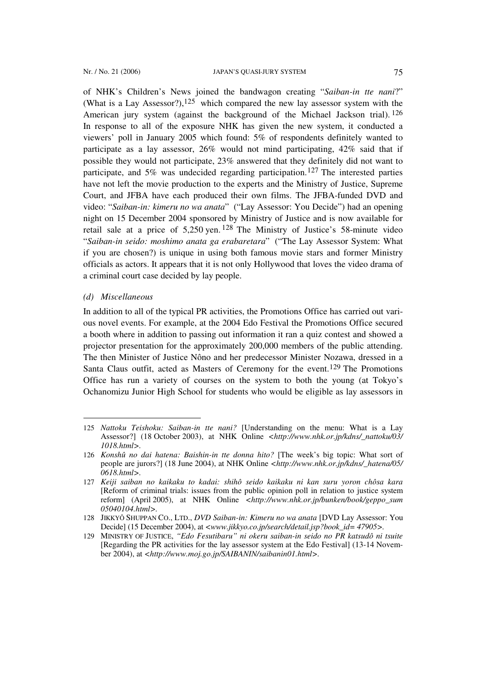of NHK's Children's News joined the bandwagon creating "*Saiban-in tte nani*?" (What is a Lay Assessor?),<sup>125</sup> which compared the new lay assessor system with the American jury system (against the background of the Michael Jackson trial). <sup>126</sup> In response to all of the exposure NHK has given the new system, it conducted a viewers' poll in January 2005 which found: 5% of respondents definitely wanted to participate as a lay assessor, 26% would not mind participating, 42% said that if possible they would not participate, 23% answered that they definitely did not want to participate, and 5% was undecided regarding participation.127 The interested parties have not left the movie production to the experts and the Ministry of Justice, Supreme Court, and JFBA have each produced their own films. The JFBA-funded DVD and video: "*Saiban-in: kimeru no wa anata*" ("Lay Assessor: You Decide") had an opening night on 15 December 2004 sponsored by Ministry of Justice and is now available for retail sale at a price of 5,250 yen. 128 The Ministry of Justice's 58-minute video "*Saiban-in seido: moshimo anata ga erabaretara*" ("The Lay Assessor System: What if you are chosen?) is unique in using both famous movie stars and former Ministry officials as actors. It appears that it is not only Hollywood that loves the video drama of a criminal court case decided by lay people.

#### *(d) Miscellaneous*

 $\overline{a}$ 

In addition to all of the typical PR activities, the Promotions Office has carried out various novel events. For example, at the 2004 Edo Festival the Promotions Office secured a booth where in addition to passing out information it ran a quiz contest and showed a projector presentation for the approximately 200,000 members of the public attending. The then Minister of Justice Nôno and her predecessor Minister Nozawa, dressed in a Santa Claus outfit, acted as Masters of Ceremony for the event.<sup>129</sup> The Promotions Office has run a variety of courses on the system to both the young (at Tokyo's Ochanomizu Junior High School for students who would be eligible as lay assessors in

<sup>125</sup> *Nattoku Teishoku: Saiban-in tte nani?* [Understanding on the menu: What is a Lay Assessor?] (18 October 2003), at NHK Online *<http://www.nhk.or.jp/kdns/\_nattoku/03/ 1018.html>.*

<sup>126</sup> *Konshû no dai hatena: Baishin-in tte donna hito?* [The week's big topic: What sort of people are jurors?] (18 June 2004), at NHK Online *<http://www.nhk.or.jp/kdns/\_hatena/05/ 0618.html>.*

<sup>127</sup> *Keiji saiban no kaikaku to kadai: shihô seido kaikaku ni kan suru yoron chôsa kara* [Reform of criminal trials: issues from the public opinion poll in relation to justice system reform] (April 2005), at NHK Online *<http://www.nhk.or.jp/bunken/book/geppo\_sum 05040104.html>.*

<sup>128</sup> JIKKYÔ SHUPPAN CO., LTD., *DVD Saiban-in: Kimeru no wa anata* [DVD Lay Assessor: You Decide] (15 December 2004), at *<www.jikkyo.co.jp/search/detail.jsp?book\_id= 47905>.*

<sup>129</sup> MINISTRY OF JUSTICE, *"Edo Fesutibaru" ni okeru saiban-in seido no PR katsudô ni tsuite* [Regarding the PR activities for the lay assessor system at the Edo Festival] (13-14 November 2004), at *<http://www.moj.go.jp/SAIBANIN/saibanin01.html>.*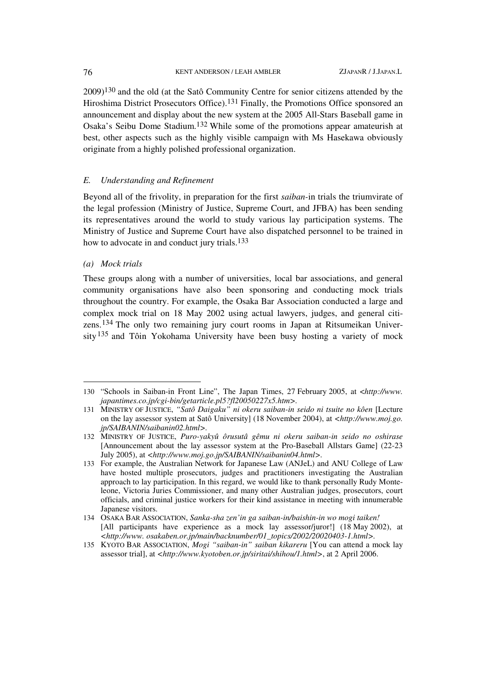$2009$ <sup>130</sup> and the old (at the Satô Community Centre for senior citizens attended by the Hiroshima District Prosecutors Office).<sup>131</sup> Finally, the Promotions Office sponsored an announcement and display about the new system at the 2005 All-Stars Baseball game in Osaka's Seibu Dome Stadium.132 While some of the promotions appear amateurish at best, other aspects such as the highly visible campaign with Ms Hasekawa obviously originate from a highly polished professional organization.

## *E. Understanding and Refinement*

Beyond all of the frivolity, in preparation for the first *saiban-*in trials the triumvirate of the legal profession (Ministry of Justice, Supreme Court, and JFBA) has been sending its representatives around the world to study various lay participation systems. The Ministry of Justice and Supreme Court have also dispatched personnel to be trained in how to advocate in and conduct jury trials.133

## *(a) Mock trials*

 $\overline{a}$ 

These groups along with a number of universities, local bar associations, and general community organisations have also been sponsoring and conducting mock trials throughout the country. For example, the Osaka Bar Association conducted a large and complex mock trial on 18 May 2002 using actual lawyers, judges, and general citizens.134 The only two remaining jury court rooms in Japan at Ritsumeikan University<sup>135</sup> and Tôin Yokohama University have been busy hosting a variety of mock

<sup>130</sup> "Schools in Saiban-in Front Line", The Japan Times, 27 February 2005, at <*http://www. japantimes.co.jp/cgi-bin/getarticle.pl5?fl20050227x5.htm>.*

<sup>131</sup> MINISTRY OF JUSTICE, *"Satô Daigaku" ni okeru saiban-in seido ni tsuite no kôen* [Lecture on the lay assessor system at Satô University] (18 November 2004), at *<http://www.moj.go. jp/SAIBANIN/saibanin02.html>.* 

<sup>132</sup> MINISTRY OF JUSTICE, *Puro-yakyû ôrusutâ gêmu ni okeru saiban-in seido no oshirase*  [Announcement about the lay assessor system at the Pro-Baseball Allstars Game] (22-23 July 2005), at *<http://www.moj.go.jp/SAIBANIN/saibanin04.html>.* 

<sup>133</sup> For example, the Australian Network for Japanese Law (ANJeL) and ANU College of Law have hosted multiple prosecutors, judges and practitioners investigating the Australian approach to lay participation. In this regard, we would like to thank personally Rudy Monteleone, Victoria Juries Commissioner, and many other Australian judges, prosecutors, court officials, and criminal justice workers for their kind assistance in meeting with innumerable Japanese visitors.

<sup>134</sup> OSAKA BAR ASSOCIATION, *Sanka-sha zen'in ga saiban-in/baishin-in wo mogi taiken!*  [All participants have experience as a mock lay assessor/juror!] (18 May 2002), at *<http://www. osakaben.or.jp/main/backnumber/01\_topics/2002/20020403-1.html>.*

<sup>135</sup> KYOTO BAR ASSOCIATION, *Mogi "saiban-in" saiban kikareru* [You can attend a mock lay assessor trial], at *<http://www.kyotoben.or.jp/siritai/shihou/1.html>*, at 2 April 2006.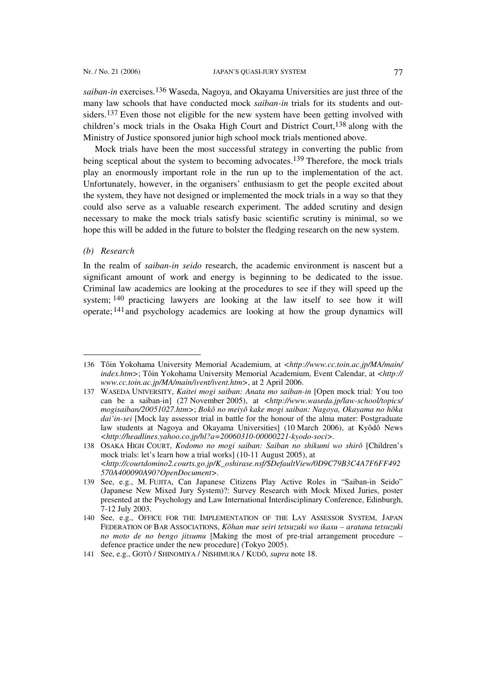*saiban-in* exercises.136 Waseda, Nagoya, and Okayama Universities are just three of the many law schools that have conducted mock *saiban-in* trials for its students and outsiders.<sup>137</sup> Even those not eligible for the new system have been getting involved with children's mock trials in the Osaka High Court and District Court,138 along with the Ministry of Justice sponsored junior high school mock trials mentioned above.

Mock trials have been the most successful strategy in converting the public from being sceptical about the system to becoming advocates.<sup>139</sup> Therefore, the mock trials play an enormously important role in the run up to the implementation of the act. Unfortunately, however, in the organisers' enthusiasm to get the people excited about the system, they have not designed or implemented the mock trials in a way so that they could also serve as a valuable research experiment. The added scrutiny and design necessary to make the mock trials satisfy basic scientific scrutiny is minimal, so we hope this will be added in the future to bolster the fledging research on the new system.

*(b) Research* 

l

In the realm of *saiban-in seido* research, the academic environment is nascent but a significant amount of work and energy is beginning to be dedicated to the issue. Criminal law academics are looking at the procedures to see if they will speed up the system; 140 practicing lawyers are looking at the law itself to see how it will operate;  $141$  and psychology academics are looking at how the group dynamics will

<sup>136</sup> Tôin Yokohama University Memorial Academium, at *<http://www.cc.toin.ac.jp/MA/main/ index.htm>*; Tôin Yokohama University Memorial Academium, Event Calendar, at <*http:// www.cc.toin.ac.jp/MA/main/ivent/ivent.htm>*, at 2 April 2006.

<sup>137</sup> WASEDA UNIVERSITY, *Kaitei mogi saiban: Anata mo saiban-in* [Open mock trial: You too can be a saiban-in] (27 November 2005), at *<http://www.waseda.jp/law-school/topics/ mogisaiban/20051027.htm>*; *Bokô no meiyô kake mogi saiban: Nagoya, Okayama no hôka dai'in-sei* [Mock lay assessor trial in battle for the honour of the alma mater: Postgraduate law students at Nagoya and Okayama Universities] (10 March 2006), at Kyôdô News *<http://headlines.yahoo.co.jp/hl?a=20060310-00000221-kyodo-soci>.*

<sup>138</sup> OSAKA HIGH COURT, *Kodomo no mogi saiban: Saiban no shikumi wo shirô* [Children's mock trials: let's learn how a trial works] (10-11 August 2005), at *<http://courtdomino2.courts.go.jp/K\_oshirase.nsf/\$DefaultView/0D9C79B3C4A7F6FF492 570A400090A90?OpenDocument>.*

<sup>139</sup> See, e.g., M. FUJITA, Can Japanese Citizens Play Active Roles in "Saiban-in Seido" (Japanese New Mixed Jury System)?: Survey Research with Mock Mixed Juries, poster presented at the Psychology and Law International Interdisciplinary Conference, Edinburgh, 7-12 July 2003.

<sup>140</sup> See, e.g., OFFICE FOR THE IMPLEMENTATION OF THE LAY ASSESSOR SYSTEM, JAPAN FEDERATION OF BAR ASSOCIATIONS, *Kôhan mae seiri tetsuzuki wo ikasu – aratana tetsuzuki no moto de no bengo jitsumu* [Making the most of pre-trial arrangement procedure *–*  defence practice under the new procedure] (Tokyo 2005).

<sup>141</sup> See, e.g., GOTÔ / SHINOMIYA / NISHIMURA / KUDÔ, *supra* note 18.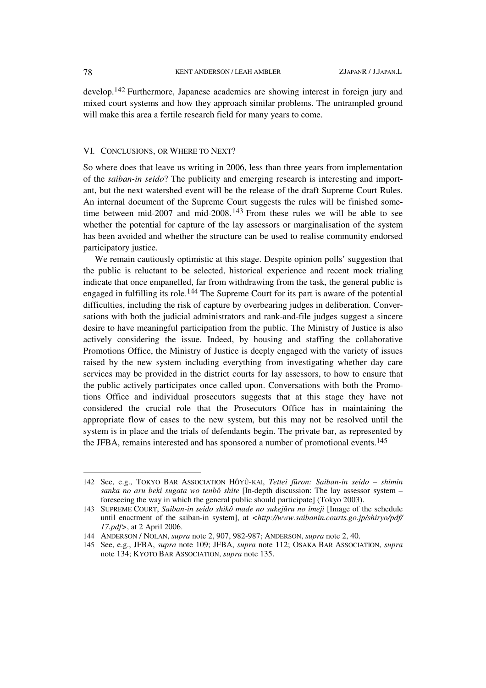develop.142 Furthermore, Japanese academics are showing interest in foreign jury and mixed court systems and how they approach similar problems. The untrampled ground will make this area a fertile research field for many years to come.

#### VI. CONCLUSIONS, OR WHERE TO NEXT?

So where does that leave us writing in 2006, less than three years from implementation of the *saiban-in seido*? The publicity and emerging research is interesting and important, but the next watershed event will be the release of the draft Supreme Court Rules. An internal document of the Supreme Court suggests the rules will be finished sometime between mid-2007 and mid-2008.143 From these rules we will be able to see whether the potential for capture of the lay assessors or marginalisation of the system has been avoided and whether the structure can be used to realise community endorsed participatory justice.

We remain cautiously optimistic at this stage. Despite opinion polls' suggestion that the public is reluctant to be selected, historical experience and recent mock trialing indicate that once empanelled, far from withdrawing from the task, the general public is engaged in fulfilling its role.144 The Supreme Court for its part is aware of the potential difficulties, including the risk of capture by overbearing judges in deliberation. Conversations with both the judicial administrators and rank-and-file judges suggest a sincere desire to have meaningful participation from the public. The Ministry of Justice is also actively considering the issue. Indeed, by housing and staffing the collaborative Promotions Office, the Ministry of Justice is deeply engaged with the variety of issues raised by the new system including everything from investigating whether day care services may be provided in the district courts for lay assessors, to how to ensure that the public actively participates once called upon. Conversations with both the Promotions Office and individual prosecutors suggests that at this stage they have not considered the crucial role that the Prosecutors Office has in maintaining the appropriate flow of cases to the new system, but this may not be resolved until the system is in place and the trials of defendants begin. The private bar, as represented by the JFBA, remains interested and has sponsored a number of promotional events.145

<sup>142</sup> See, e.g., TOKYO BAR ASSOCIATION HÔYÛ-KAI, *Tettei fûron: Saiban-in seido* – *shimin sanka no aru beki sugata wo tenbô shite* [In-depth discussion: The lay assessor system – foreseeing the way in which the general public should participate] (Tokyo 2003).

<sup>143</sup> SUPREME COURT, *Saiban-in seido shikô made no sukejûru no imeji* [Image of the schedule until enactment of the saiban-in system], at <http://www.saibanin.courts.go.jp/shiryo/pdf/ *17.pdf>*, at 2 April 2006.

<sup>144</sup> ANDERSON / NOLAN, *supra* note 2, 907, 982-987; ANDERSON, *supra* note 2, 40.

<sup>145</sup> See, e.g., JFBA, *supra* note 109; JFBA, *supra* note 112; OSAKA BAR ASSOCIATION, *supra* note 134; KYOTO BAR ASSOCIATION, *supra* note 135.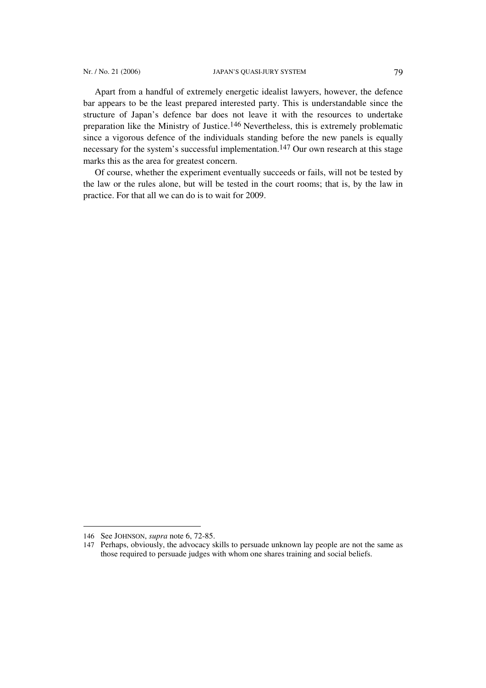Apart from a handful of extremely energetic idealist lawyers, however, the defence bar appears to be the least prepared interested party. This is understandable since the structure of Japan's defence bar does not leave it with the resources to undertake preparation like the Ministry of Justice.146 Nevertheless, this is extremely problematic since a vigorous defence of the individuals standing before the new panels is equally necessary for the system's successful implementation.<sup>147</sup> Our own research at this stage marks this as the area for greatest concern.

Of course, whether the experiment eventually succeeds or fails, will not be tested by the law or the rules alone, but will be tested in the court rooms; that is, by the law in practice. For that all we can do is to wait for 2009.

<sup>146</sup> See JOHNSON, *supra* note 6, 72-85.

<sup>147</sup> Perhaps, obviously, the advocacy skills to persuade unknown lay people are not the same as those required to persuade judges with whom one shares training and social beliefs.